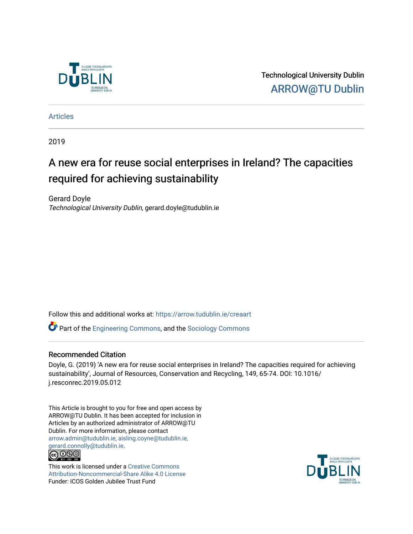

Technological University Dublin [ARROW@TU Dublin](https://arrow.tudublin.ie/) 

[Articles](https://arrow.tudublin.ie/creaart)

2019

# A new era for reuse social enterprises in Ireland? The capacities required for achieving sustainability

Gerard Doyle Technological University Dublin, gerard.doyle@tudublin.ie

Follow this and additional works at: [https://arrow.tudublin.ie/creaart](https://arrow.tudublin.ie/creaart?utm_source=arrow.tudublin.ie%2Fcreaart%2F26&utm_medium=PDF&utm_campaign=PDFCoverPages) 

Part of the [Engineering Commons](http://network.bepress.com/hgg/discipline/217?utm_source=arrow.tudublin.ie%2Fcreaart%2F26&utm_medium=PDF&utm_campaign=PDFCoverPages), and the [Sociology Commons](http://network.bepress.com/hgg/discipline/416?utm_source=arrow.tudublin.ie%2Fcreaart%2F26&utm_medium=PDF&utm_campaign=PDFCoverPages)

#### Recommended Citation

Doyle, G. (2019) 'A new era for reuse social enterprises in Ireland? The capacities required for achieving sustainability', Journal of Resources, Conservation and Recycling, 149, 65-74. DOI: 10.1016/ j.resconrec.2019.05.012

This Article is brought to you for free and open access by ARROW@TU Dublin. It has been accepted for inclusion in Articles by an authorized administrator of ARROW@TU Dublin. For more information, please contact [arrow.admin@tudublin.ie, aisling.coyne@tudublin.ie,](mailto:arrow.admin@tudublin.ie,%20aisling.coyne@tudublin.ie,%20gerard.connolly@tudublin.ie)  [gerard.connolly@tudublin.ie](mailto:arrow.admin@tudublin.ie,%20aisling.coyne@tudublin.ie,%20gerard.connolly@tudublin.ie). **@** 00

This work is licensed under a [Creative Commons](http://creativecommons.org/licenses/by-nc-sa/4.0/) [Attribution-Noncommercial-Share Alike 4.0 License](http://creativecommons.org/licenses/by-nc-sa/4.0/) Funder: ICOS Golden Jubilee Trust Fund

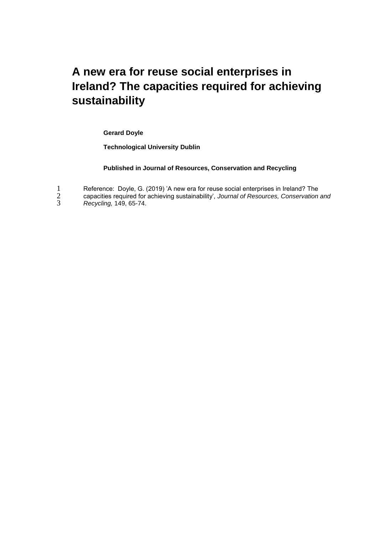# **A new era for reuse social enterprises in Ireland? The capacities required for achieving sustainability**

**Gerard Doyle**

**Technological University Dublin** 

#### **Published in Journal of Resources, Conservation and Recycling**

|  |  |  | Reference: Doyle, G. (2019) 'A new era for reuse social enterprises in Ireland? The |  |
|--|--|--|-------------------------------------------------------------------------------------|--|
|  |  |  |                                                                                     |  |

2 capacities required for achieving sustainability', *Journal of Resources, Conservation and*  3 *Recycling,* 149, 65-74.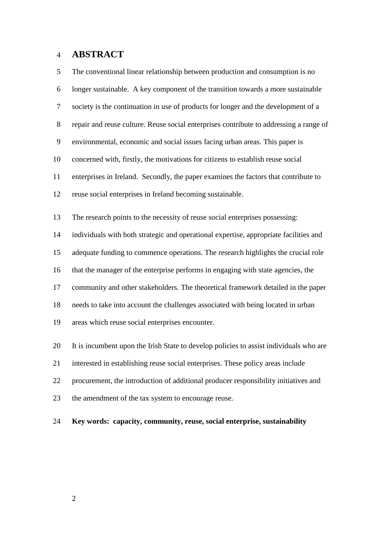# **ABSTRACT**

| 5            | The conventional linear relationship between production and consumption is no          |
|--------------|----------------------------------------------------------------------------------------|
| 6            | longer sustainable. A key component of the transition towards a more sustainable       |
| $\tau$       | society is the continuation in use of products for longer and the development of a     |
| $8\,$        | repair and reuse culture. Reuse social enterprises contribute to addressing a range of |
| $\mathbf{9}$ | environmental, economic and social issues facing urban areas. This paper is            |
| 10           | concerned with, firstly, the motivations for citizens to establish reuse social        |
| 11           | enterprises in Ireland. Secondly, the paper examines the factors that contribute to    |
| 12           | reuse social enterprises in Ireland becoming sustainable.                              |
| 13           | The research points to the necessity of reuse social enterprises possessing:           |
| 14           | individuals with both strategic and operational expertise, appropriate facilities and  |
| 15           | adequate funding to commence operations. The research highlights the crucial role      |
| 16           | that the manager of the enterprise performs in engaging with state agencies, the       |
| 17           | community and other stakeholders. The theoretical framework detailed in the paper      |
| 18           | needs to take into account the challenges associated with being located in urban       |
| 19           | areas which reuse social enterprises encounter.                                        |
| 20           | It is incumbent upon the Irish State to develop policies to assist individuals who are |
| 21           | interested in establishing reuse social enterprises. These policy areas include        |
| 22           | procurement, the introduction of additional producer responsibility initiatives and    |
| 23           | the amendment of the tax system to encourage reuse.                                    |

**Key words: capacity, community, reuse, social enterprise, sustainability**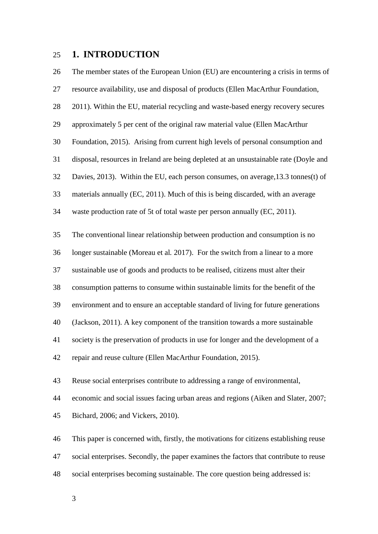# **1. INTRODUCTION**

 The member states of the European Union (EU) are encountering a crisis in terms of resource availability, use and disposal of products (Ellen MacArthur Foundation, 2011). Within the EU, material recycling and waste-based energy recovery secures approximately 5 per cent of the original raw material value (Ellen MacArthur Foundation, 2015). Arising from current high levels of personal consumption and disposal, resources in Ireland are being depleted at an unsustainable rate (Doyle and Davies*,* 2013). Within the EU, each person consumes, on average,13.3 tonnes(t) of materials annually (EC, 2011). Much of this is being discarded, with an average waste production rate of 5t of total waste per person annually (EC, 2011). The conventional linear relationship between production and consumption is no longer sustainable (Moreau et al*.* 2017). For the switch from a linear to a more sustainable use of goods and products to be realised, citizens must alter their consumption patterns to consume within sustainable limits for the benefit of the environment and to ensure an acceptable standard of living for future generations (Jackson, 2011). A key component of the transition towards a more sustainable society is the preservation of products in use for longer and the development of a repair and reuse culture (Ellen MacArthur Foundation, 2015). Reuse social enterprises contribute to addressing a range of environmental, economic and social issues facing urban areas and regions (Aiken and Slater, 2007; Bichard, 2006; and Vickers, 2010). This paper is concerned with, firstly, the motivations for citizens establishing reuse social enterprises. Secondly, the paper examines the factors that contribute to reuse social enterprises becoming sustainable. The core question being addressed is: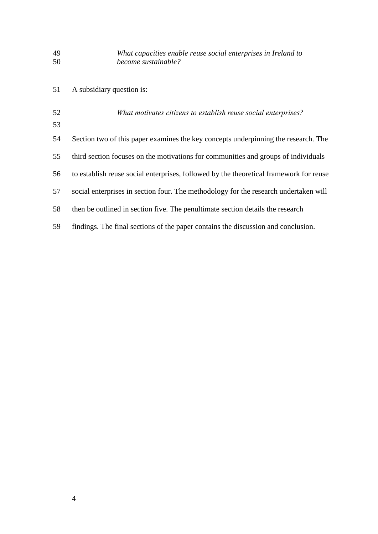# *What capacities enable reuse social enterprises in Ireland to become sustainable?*

 A subsidiary question is: *What motivates citizens to establish reuse social enterprises?* Section two of this paper examines the key concepts underpinning the research. The third section focuses on the motivations for communities and groups of individuals to establish reuse social enterprises, followed by the theoretical framework for reuse social enterprises in section four. The methodology for the research undertaken will then be outlined in section five. The penultimate section details the research findings. The final sections of the paper contains the discussion and conclusion.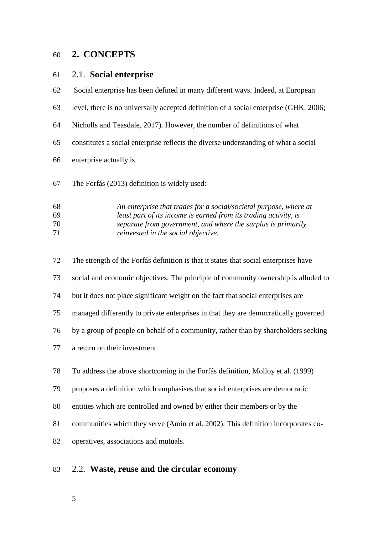# **2. CONCEPTS**

## 2.1. **Social enterprise**

- Social enterprise has been defined in many different ways. Indeed, at European
- level, there is no universally accepted definition of a social enterprise (GHK, 2006;
- Nicholls and Teasdale, 2017). However, the number of definitions of what
- constitutes a social enterprise reflects the diverse understanding of what a social
- enterprise actually is.
- The Forfás (2013) definition is widely used:

| 68 | An enterprise that trades for a social/societal purpose, where at |
|----|-------------------------------------------------------------------|
| 69 | least part of its income is earned from its trading activity, is  |
| 70 | separate from government, and where the surplus is primarily      |
| 71 | <i>reinvested in the social objective.</i>                        |

 The strength of the Forfás definition is that it states that social enterprises have social and economic objectives. The principle of community ownership is alluded to but it does not place significant weight on the fact that social enterprises are managed differently to private enterprises in that they are democratically governed by a group of people on behalf of a community, rather than by shareholders seeking a return on their investment. To address the above shortcoming in the Forfás definition, Molloy et al. (1999) proposes a definition which emphasises that social enterprises are democratic entities which are controlled and owned by either their members or by the communities which they serve (Amin et al. 2002). This definition incorporates co-operatives, associations and mutuals.

# 2.2. **Waste, reuse and the circular economy**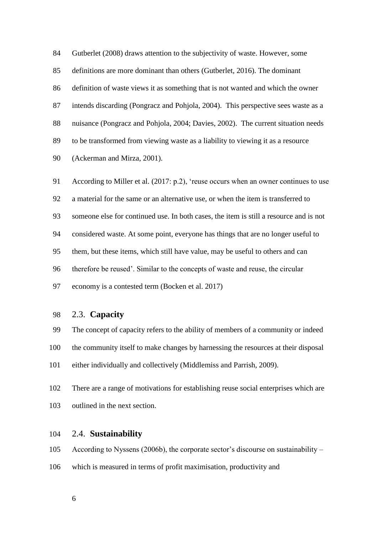Gutberlet (2008) draws attention to the subjectivity of waste. However, some definitions are more dominant than others (Gutberlet, 2016). The dominant definition of waste views it as something that is not wanted and which the owner intends discarding (Pongracz and Pohjola, 2004). This perspective sees waste as a nuisance (Pongracz and Pohjola, 2004; Davies, 2002). The current situation needs to be transformed from viewing waste as a liability to viewing it as a resource (Ackerman and Mirza, 2001).

 According to Miller et al. (2017: p.2), 'reuse occurs when an owner continues to use a material for the same or an alternative use, or when the item is transferred to someone else for continued use. In both cases, the item is still a resource and is not considered waste. At some point, everyone has things that are no longer useful to them, but these items, which still have value, may be useful to others and can therefore be reused'. Similar to the concepts of waste and reuse, the circular economy is a contested term (Bocken et al. 2017)

#### 2.3. **Capacity**

 The concept of capacity refers to the ability of members of a community or indeed the community itself to make changes by harnessing the resources at their disposal

either individually and collectively (Middlemiss and Parrish, 2009).

 There are a range of motivations for establishing reuse social enterprises which are outlined in the next section.

#### 2.4. **Sustainability**

According to Nyssens (2006b), the corporate sector's discourse on sustainability –

- which is measured in terms of profit maximisation, productivity and
	-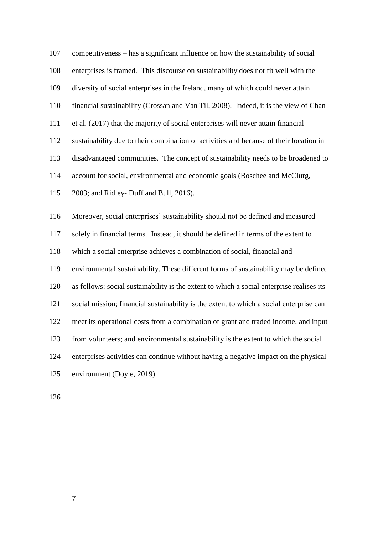competitiveness – has a significant influence on how the sustainability of social enterprises is framed. This discourse on sustainability does not fit well with the diversity of social enterprises in the Ireland, many of which could never attain financial sustainability (Crossan and Van Til, 2008). Indeed, it is the view of Chan et al. (2017) that the majority of social enterprises will never attain financial sustainability due to their combination of activities and because of their location in disadvantaged communities. The concept of sustainability needs to be broadened to account for social, environmental and economic goals (Boschee and McClurg, 2003; and Ridley- Duff and Bull, 2016). Moreover, social enterprises' sustainability should not be defined and measured

 solely in financial terms. Instead, it should be defined in terms of the extent to which a social enterprise achieves a combination of social, financial and environmental sustainability. These different forms of sustainability may be defined as follows: social sustainability is the extent to which a social enterprise realises its social mission; financial sustainability is the extent to which a social enterprise can meet its operational costs from a combination of grant and traded income, and input from volunteers; and environmental sustainability is the extent to which the social enterprises activities can continue without having a negative impact on the physical environment (Doyle, 2019).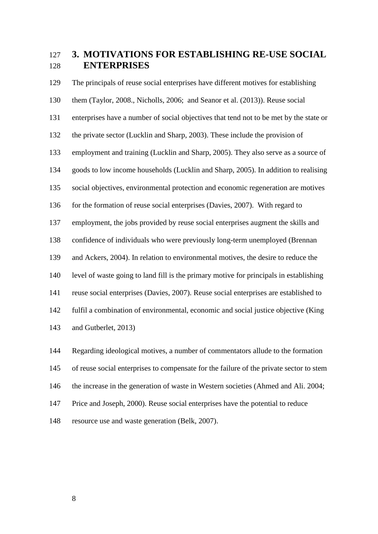# **3. MOTIVATIONS FOR ESTABLISHING RE-USE SOCIAL ENTERPRISES**

 The principals of reuse social enterprises have different motives for establishing them (Taylor, 2008., Nicholls, 2006; and Seanor et al. (2013)). Reuse social enterprises have a number of social objectives that tend not to be met by the state or the private sector (Lucklin and Sharp, 2003). These include the provision of employment and training (Lucklin and Sharp, 2005). They also serve as a source of goods to low income households (Lucklin and Sharp, 2005). In addition to realising social objectives, environmental protection and economic regeneration are motives 136 for the formation of reuse social enterprises (Davies, 2007). With regard to employment, the jobs provided by reuse social enterprises augment the skills and confidence of individuals who were previously long-term unemployed (Brennan and Ackers, 2004). In relation to environmental motives, the desire to reduce the level of waste going to land fill is the primary motive for principals in establishing reuse social enterprises (Davies, 2007). Reuse social enterprises are established to fulfil a combination of environmental, economic and social justice objective (King and Gutberlet, 2013)

 Regarding ideological motives, a number of commentators allude to the formation of reuse social enterprises to compensate for the failure of the private sector to stem the increase in the generation of waste in Western societies (Ahmed and Ali. 2004; Price and Joseph, 2000). Reuse social enterprises have the potential to reduce resource use and waste generation (Belk, 2007).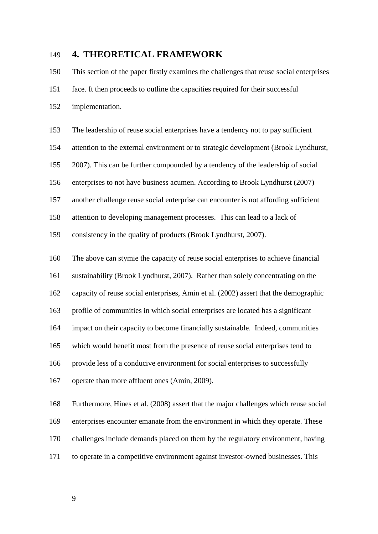# **4. THEORETICAL FRAMEWORK**

 This section of the paper firstly examines the challenges that reuse social enterprises face. It then proceeds to outline the capacities required for their successful

- implementation.
- The leadership of reuse social enterprises have a tendency not to pay sufficient
- attention to the external environment or to strategic development (Brook Lyndhurst,
- 2007). This can be further compounded by a tendency of the leadership of social
- enterprises to not have business acumen. According to Brook Lyndhurst (2007)
- another challenge reuse social enterprise can encounter is not affording sufficient
- attention to developing management processes. This can lead to a lack of

consistency in the quality of products (Brook Lyndhurst, 2007).

- The above can stymie the capacity of reuse social enterprises to achieve financial
- sustainability (Brook Lyndhurst, 2007). Rather than solely concentrating on the
- capacity of reuse social enterprises, Amin et al. (2002) assert that the demographic
- profile of communities in which social enterprises are located has a significant
- impact on their capacity to become financially sustainable. Indeed, communities
- which would benefit most from the presence of reuse social enterprises tend to
- provide less of a conducive environment for social enterprises to successfully
- operate than more affluent ones (Amin, 2009).

 Furthermore, Hines et al. (2008) assert that the major challenges which reuse social enterprises encounter emanate from the environment in which they operate. These challenges include demands placed on them by the regulatory environment, having to operate in a competitive environment against investor-owned businesses. This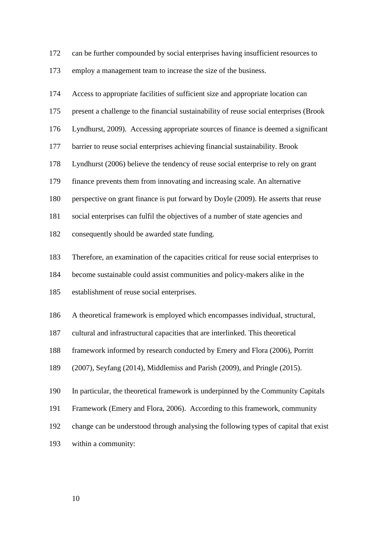can be further compounded by social enterprises having insufficient resources to employ a management team to increase the size of the business.

| 174 | Access to appropriate facilities of sufficient size and appropriate location can       |
|-----|----------------------------------------------------------------------------------------|
| 175 | present a challenge to the financial sustainability of reuse social enterprises (Brook |
| 176 | Lyndhurst, 2009). Accessing appropriate sources of finance is deemed a significant     |
| 177 | barrier to reuse social enterprises achieving financial sustainability. Brook          |
| 178 | Lyndhurst (2006) believe the tendency of reuse social enterprise to rely on grant      |
| 179 | finance prevents them from innovating and increasing scale. An alternative             |
| 180 | perspective on grant finance is put forward by Doyle (2009). He asserts that reuse     |
| 181 | social enterprises can fulfil the objectives of a number of state agencies and         |
| 182 | consequently should be awarded state funding.                                          |
| 183 | Therefore, an examination of the capacities critical for reuse social enterprises to   |
| 184 | become sustainable could assist communities and policy-makers alike in the             |
| 185 | establishment of reuse social enterprises.                                             |
| 186 | A theoretical framework is employed which encompasses individual, structural,          |
| 187 | cultural and infrastructural capacities that are interlinked. This theoretical         |
| 188 | framework informed by research conducted by Emery and Flora (2006), Porritt            |
| 189 | (2007), Seyfang (2014), Middlemiss and Parish (2009), and Pringle (2015).              |
| 190 | In particular, the theoretical framework is underpinned by the Community Capitals      |
| 191 | Framework (Emery and Flora, 2006). According to this framework, community              |
| 192 | change can be understood through analysing the following types of capital that exist   |
| 193 | within a community:                                                                    |
|     |                                                                                        |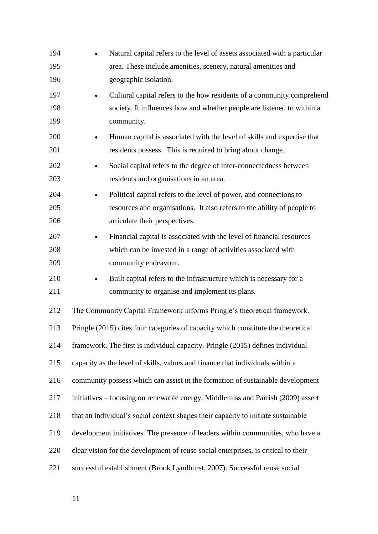| 194 | Natural capital refers to the level of assets associated with a particular           |
|-----|--------------------------------------------------------------------------------------|
| 195 | area. These include amenities, scenery, natural amenities and                        |
| 196 | geographic isolation.                                                                |
| 197 | Cultural capital refers to the how residents of a community comprehend               |
| 198 | society. It influences how and whether people are listened to within a               |
| 199 | community.                                                                           |
| 200 | Human capital is associated with the level of skills and expertise that<br>$\bullet$ |
| 201 | residents possess. This is required to bring about change.                           |
| 202 | Social capital refers to the degree of inter-connectedness between                   |
| 203 | residents and organisations in an area.                                              |
| 204 | Political capital refers to the level of power, and connections to                   |
| 205 | resources and organisations. It also refers to the ability of people to              |
| 206 | articulate their perspectives.                                                       |
| 207 | Financial capital is associated with the level of financial resources                |
| 208 | which can be invested in a range of activities associated with                       |
| 209 | community endeavour.                                                                 |
| 210 | Built capital refers to the infrastructure which is necessary for a                  |
| 211 | community to organise and implement its plans.                                       |
| 212 | The Community Capital Framework informs Pringle's theoretical framework.             |
| 213 | Pringle (2015) cites four categories of capacity which constitute the theoretical    |
| 214 | framework. The first is individual capacity. Pringle (2015) defines individual       |
| 215 | capacity as the level of skills, values and finance that individuals within a        |
| 216 | community possess which can assist in the formation of sustainable development       |
| 217 | initiatives – focusing on renewable energy. Middlemiss and Parrish (2009) assert     |
| 218 | that an individual's social context shapes their capacity to initiate sustainable    |
| 219 | development initiatives. The presence of leaders within communities, who have a      |
| 220 | clear vision for the development of reuse social enterprises, is critical to their   |
| 221 | successful establishment (Brook Lyndhurst, 2007). Successful reuse social            |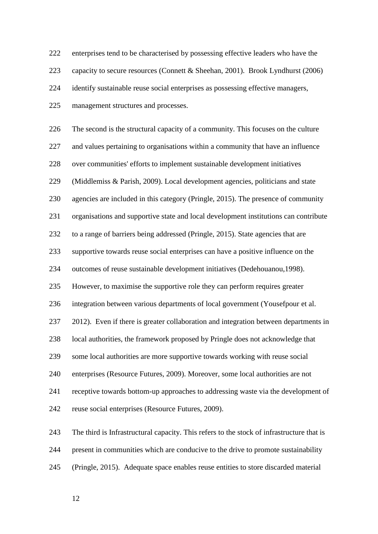enterprises tend to be characterised by possessing effective leaders who have the capacity to secure resources (Connett & Sheehan, 2001). Brook Lyndhurst (2006) identify sustainable reuse social enterprises as possessing effective managers, management structures and processes.

 The second is the structural capacity of a community. This focuses on the culture and values pertaining to organisations within a community that have an influence over communities' efforts to implement sustainable development initiatives (Middlemiss & Parish, 2009). Local development agencies, politicians and state agencies are included in this category (Pringle, 2015). The presence of community organisations and supportive state and local development institutions can contribute to a range of barriers being addressed (Pringle, 2015). State agencies that are supportive towards reuse social enterprises can have a positive influence on the outcomes of reuse sustainable development initiatives (Dedehouanou,1998). However, to maximise the supportive role they can perform requires greater integration between various departments of local government (Yousefpour et al. 2012). Even if there is greater collaboration and integration between departments in local authorities, the framework proposed by Pringle does not acknowledge that some local authorities are more supportive towards working with reuse social enterprises (Resource Futures, 2009). Moreover, some local authorities are not receptive towards bottom-up approaches to addressing waste via the development of reuse social enterprises (Resource Futures, 2009).

 The third is Infrastructural capacity. This refers to the stock of infrastructure that is present in communities which are conducive to the drive to promote sustainability (Pringle, 2015). Adequate space enables reuse entities to store discarded material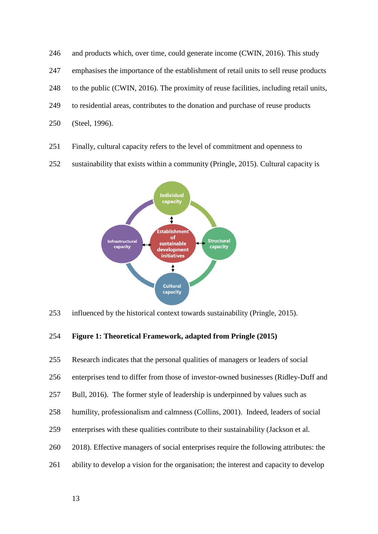246 and products which, over time, could generate income (CWIN, 2016). This study emphasises the importance of the establishment of retail units to sell reuse products to the public (CWIN, 2016). The proximity of reuse facilities, including retail units, to residential areas, contributes to the donation and purchase of reuse products (Steel, 1996).

- Finally, cultural capacity refers to the level of commitment and openness to
- sustainability that exists within a community (Pringle, 2015). Cultural capacity is



influenced by the historical context towards sustainability (Pringle, 2015).

#### **Figure 1: Theoretical Framework, adapted from Pringle (2015)**

 Research indicates that the personal qualities of managers or leaders of social enterprises tend to differ from those of investor-owned businesses (Ridley-Duff and Bull, 2016). The former style of leadership is underpinned by values such as humility, professionalism and calmness (Collins, 2001). Indeed, leaders of social enterprises with these qualities contribute to their sustainability (Jackson et al. 2018). Effective managers of social enterprises require the following attributes: the ability to develop a vision for the organisation; the interest and capacity to develop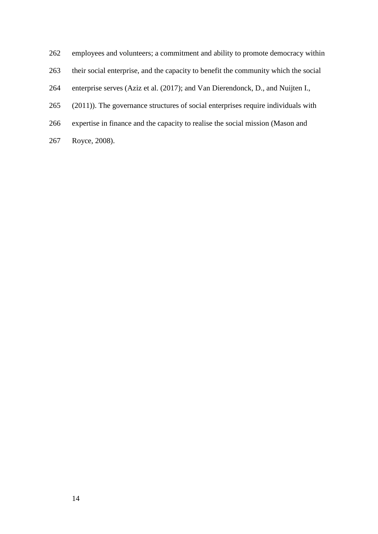- employees and volunteers; a commitment and ability to promote democracy within
- their social enterprise, and the capacity to benefit the community which the social
- enterprise serves (Aziz et al. (2017); and Van Dierendonck, D., and Nuijten I.,
- (2011)). The governance structures of social enterprises require individuals with
- expertise in finance and the capacity to realise the social mission (Mason and
- Royce, 2008).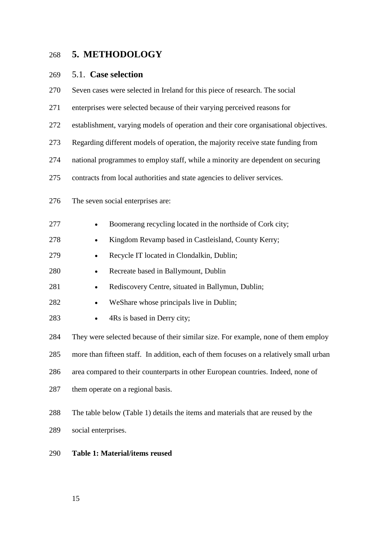# **5. METHODOLOGY**

# 5.1. **Case selection**

| 270 | Seven cases were selected in Ireland for this piece of research. The social            |  |  |  |
|-----|----------------------------------------------------------------------------------------|--|--|--|
| 271 | enterprises were selected because of their varying perceived reasons for               |  |  |  |
| 272 | establishment, varying models of operation and their core organisational objectives.   |  |  |  |
| 273 | Regarding different models of operation, the majority receive state funding from       |  |  |  |
| 274 | national programmes to employ staff, while a minority are dependent on securing        |  |  |  |
| 275 | contracts from local authorities and state agencies to deliver services.               |  |  |  |
| 276 | The seven social enterprises are:                                                      |  |  |  |
| 277 | Boomerang recycling located in the northside of Cork city;                             |  |  |  |
| 278 | Kingdom Revamp based in Castleisland, County Kerry;<br>٠                               |  |  |  |
| 279 | Recycle IT located in Clondalkin, Dublin;<br>٠                                         |  |  |  |
| 280 | Recreate based in Ballymount, Dublin<br>٠                                              |  |  |  |
| 281 | Rediscovery Centre, situated in Ballymun, Dublin;<br>$\bullet$                         |  |  |  |
| 282 | WeShare whose principals live in Dublin;<br>$\bullet$                                  |  |  |  |
| 283 | 4Rs is based in Derry city;<br>٠                                                       |  |  |  |
| 284 | They were selected because of their similar size. For example, none of them employ     |  |  |  |
| 285 | more than fifteen staff. In addition, each of them focuses on a relatively small urban |  |  |  |
| 286 | area compared to their counterparts in other European countries. Indeed, none of       |  |  |  |
| 287 | them operate on a regional basis.                                                      |  |  |  |
| 288 | The table below (Table 1) details the items and materials that are reused by the       |  |  |  |
| 289 | social enterprises.                                                                    |  |  |  |
| 290 | Table 1: Material/items reused                                                         |  |  |  |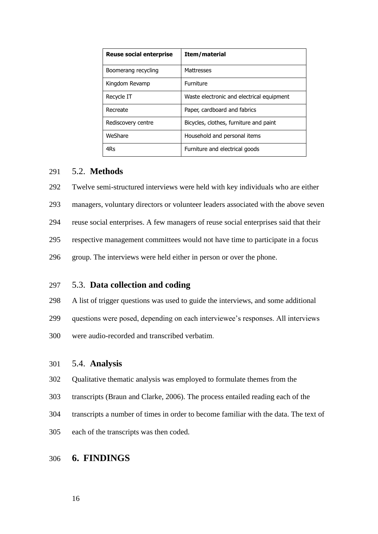| <b>Reuse social enterprise</b> | Item/material                             |
|--------------------------------|-------------------------------------------|
| Boomerang recycling            | Mattresses                                |
| Kingdom Revamp                 | <b>Furniture</b>                          |
| Recycle IT                     | Waste electronic and electrical equipment |
| Recreate                       | Paper, cardboard and fabrics              |
| Rediscovery centre             | Bicycles, clothes, furniture and paint    |
| WeShare                        | Household and personal items              |
| 4Rs                            | Furniture and electrical goods            |

#### 5.2. **Methods**

Twelve semi-structured interviews were held with key individuals who are either

managers, voluntary directors or volunteer leaders associated with the above seven

reuse social enterprises. A few managers of reuse social enterprises said that their

respective management committees would not have time to participate in a focus

group. The interviews were held either in person or over the phone.

#### 5.3. **Data collection and coding**

A list of trigger questions was used to guide the interviews, and some additional

- questions were posed, depending on each interviewee's responses. All interviews
- were audio-recorded and transcribed verbatim.

#### 5.4. **Analysis**

- Qualitative thematic analysis was employed to formulate themes from the
- transcripts (Braun and Clarke, 2006). The process entailed reading each of the
- transcripts a number of times in order to become familiar with the data. The text of
- each of the transcripts was then coded.

# **6. FINDINGS**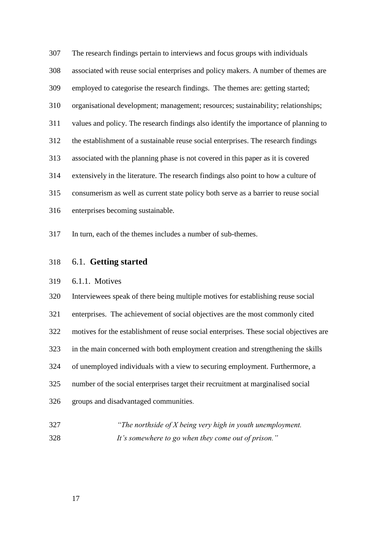The research findings pertain to interviews and focus groups with individuals associated with reuse social enterprises and policy makers. A number of themes are employed to categorise the research findings. The themes are: getting started; organisational development; management; resources; sustainability; relationships; values and policy. The research findings also identify the importance of planning to the establishment of a sustainable reuse social enterprises. The research findings associated with the planning phase is not covered in this paper as it is covered extensively in the literature. The research findings also point to how a culture of consumerism as well as current state policy both serve as a barrier to reuse social enterprises becoming sustainable.

In turn, each of the themes includes a number of sub-themes.

#### 6.1. **Getting started**

#### 6.1.1. Motives

 Interviewees speak of there being multiple motives for establishing reuse social enterprises. The achievement of social objectives are the most commonly cited motives for the establishment of reuse social enterprises. These social objectives are in the main concerned with both employment creation and strengthening the skills of unemployed individuals with a view to securing employment. Furthermore, a number of the social enterprises target their recruitment at marginalised social groups and disadvantaged communities.

 *"The northside of X being very high in youth unemployment. It's somewhere to go when they come out of prison."*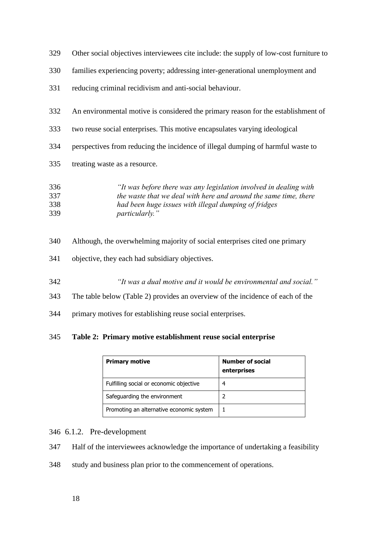| 329 | Other social objectives interviewees cite include: the supply of low-cost furniture to |
|-----|----------------------------------------------------------------------------------------|
| 330 | families experiencing poverty; addressing inter-generational unemployment and          |
| 331 | reducing criminal recidivism and anti-social behaviour.                                |
| 332 | An environmental motive is considered the primary reason for the establishment of      |
| 333 | two reuse social enterprises. This motive encapsulates varying ideological             |
| 334 | perspectives from reducing the incidence of illegal dumping of harmful waste to        |
| 335 | treating waste as a resource.                                                          |
| 336 | "It was before there was any legislation involved in dealing with                      |
| 337 | the waste that we deal with here and around the same time, there                       |
| 338 | had been huge issues with illegal dumping of fridges                                   |
|     |                                                                                        |

- *particularly."*
- Although, the overwhelming majority of social enterprises cited one primary
- objective, they each had subsidiary objectives.
- *"It was a dual motive and it would be environmental and social."*
- The table below (Table 2) provides an overview of the incidence of each of the
- primary motives for establishing reuse social enterprises.

#### **Table 2: Primary motive establishment reuse social enterprise**

| <b>Primary motive</b>                    | <b>Number of social</b><br>enterprises |
|------------------------------------------|----------------------------------------|
| Fulfilling social or economic objective  | 4                                      |
| Safeguarding the environment             |                                        |
| Promoting an alternative economic system |                                        |

#### 6.1.2. Pre-development

Half of the interviewees acknowledge the importance of undertaking a feasibility

study and business plan prior to the commencement of operations.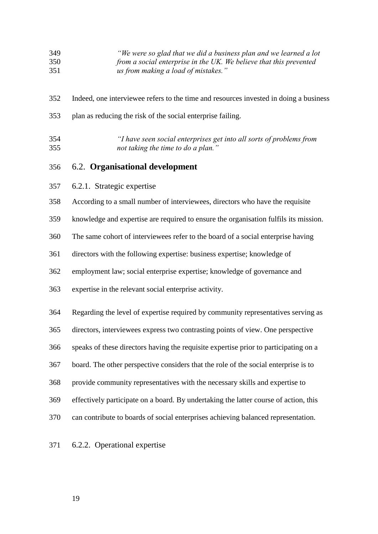#### *"We were so glad that we did a business plan and we learned a lot from a social enterprise in the UK. We believe that this prevented us from making a load of mistakes."*

- Indeed, one interviewee refers to the time and resources invested in doing a business
- plan as reducing the risk of the social enterprise failing.
- *"I have seen social enterprises get into all sorts of problems from not taking the time to do a plan."*

#### 6.2. **Organisational development**

- 6.2.1. Strategic expertise
- According to a small number of interviewees, directors who have the requisite
- knowledge and expertise are required to ensure the organisation fulfils its mission.
- The same cohort of interviewees refer to the board of a social enterprise having
- directors with the following expertise: business expertise; knowledge of
- employment law; social enterprise expertise; knowledge of governance and
- expertise in the relevant social enterprise activity.
- Regarding the level of expertise required by community representatives serving as
- directors, interviewees express two contrasting points of view. One perspective
- speaks of these directors having the requisite expertise prior to participating on a
- board. The other perspective considers that the role of the social enterprise is to
- provide community representatives with the necessary skills and expertise to
- effectively participate on a board. By undertaking the latter course of action, this
- can contribute to boards of social enterprises achieving balanced representation.
- 6.2.2. Operational expertise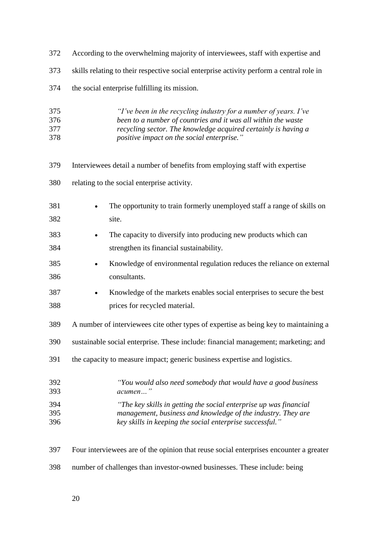| 372                      | According to the overwhelming majority of interviewees, staff with expertise and                                                                                                                                                                  |
|--------------------------|---------------------------------------------------------------------------------------------------------------------------------------------------------------------------------------------------------------------------------------------------|
| 373                      | skills relating to their respective social enterprise activity perform a central role in                                                                                                                                                          |
| 374                      | the social enterprise fulfilling its mission.                                                                                                                                                                                                     |
| 375<br>376<br>377<br>378 | "I've been in the recycling industry for a number of years. I've<br>been to a number of countries and it was all within the waste<br>recycling sector. The knowledge acquired certainly is having a<br>positive impact on the social enterprise." |
| 379                      | Interviewees detail a number of benefits from employing staff with expertise                                                                                                                                                                      |
| 380                      | relating to the social enterprise activity.                                                                                                                                                                                                       |
| 381<br>382               | The opportunity to train formerly unemployed staff a range of skills on<br>site.                                                                                                                                                                  |
| 383                      | The capacity to diversify into producing new products which can                                                                                                                                                                                   |
| 384                      | strengthen its financial sustainability.                                                                                                                                                                                                          |
| 385<br>386               | Knowledge of environmental regulation reduces the reliance on external<br>consultants.                                                                                                                                                            |
| 387<br>388               | Knowledge of the markets enables social enterprises to secure the best<br>$\bullet$<br>prices for recycled material.                                                                                                                              |
| 389                      | A number of interviewees cite other types of expertise as being key to maintaining a                                                                                                                                                              |
| 390                      | sustainable social enterprise. These include: financial management; marketing; and                                                                                                                                                                |
| 391                      | the capacity to measure impact; generic business expertise and logistics.                                                                                                                                                                         |
| 392<br>393               | "You would also need somebody that would have a good business<br>acumen"                                                                                                                                                                          |
| 394<br>395<br>396        | "The key skills in getting the social enterprise up was financial<br>management, business and knowledge of the industry. They are<br>key skills in keeping the social enterprise successful."                                                     |
| 397                      | Four interviewees are of the opinion that reuse social enterprises encounter a greater                                                                                                                                                            |

number of challenges than investor-owned businesses. These include: being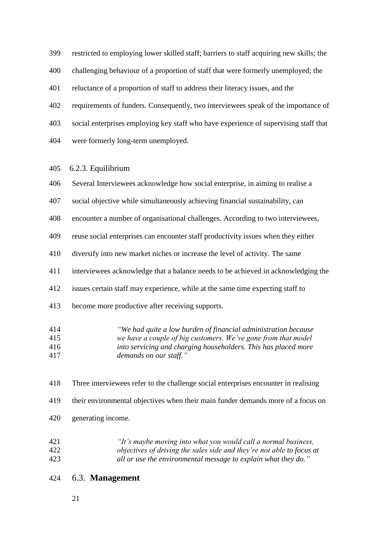restricted to employing lower skilled staff; barriers to staff acquiring new skills; the

challenging behaviour of a proportion of staff that were formerly unemployed; the

reluctance of a proportion of staff to address their literacy issues, and the

- requirements of funders. Consequently, two interviewees speak of the importance of
- social enterprises employing key staff who have experience of supervising staff that
- were formerly long-term unemployed.

#### 6.2.3. Equilibrium

- Several Interviewees acknowledge how social enterprise, in aiming to realise a
- social objective while simultaneously achieving financial sustainability, can
- encounter a number of organisational challenges. According to two interviewees,
- reuse social enterprises can encounter staff productivity issues when they either
- diversify into new market niches or increase the level of activity. The same
- interviewees acknowledge that a balance needs to be achieved in acknowledging the
- issues certain staff may experience, while at the same time expecting staff to
- become more productive after receiving supports.
- *"We had quite a low burden of financial administration because we have a couple of big customers. We've gone from that model into servicing and charging householders. This has placed more demands on our staff."*
- Three interviewees refer to the challenge social enterprises encounter in realising
- their environmental objectives when their main funder demands more of a focus on
- generating income.
- *"It's maybe moving into what you would call a normal business, objectives of driving the sales side and they're not able to focus at all or use the environmental message to explain what they do."*
- 6.3. **Management**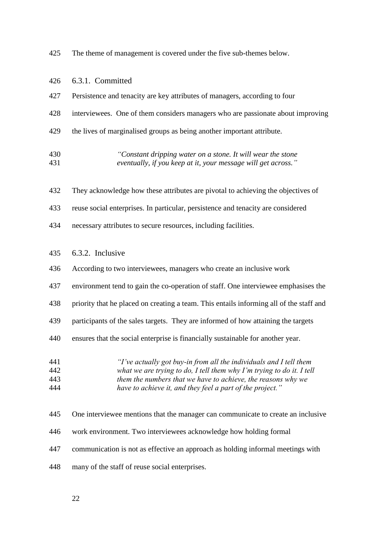The theme of management is covered under the five sub-themes below.

| 426                      | 6.3.1. Committed                                                                                                                                                                                                                                                         |
|--------------------------|--------------------------------------------------------------------------------------------------------------------------------------------------------------------------------------------------------------------------------------------------------------------------|
| 427                      | Persistence and tenacity are key attributes of managers, according to four                                                                                                                                                                                               |
| 428                      | interviewees. One of them considers managers who are passionate about improving                                                                                                                                                                                          |
| 429                      | the lives of marginalised groups as being another important attribute.                                                                                                                                                                                                   |
| 430<br>431               | "Constant dripping water on a stone. It will wear the stone<br>eventually, if you keep at it, your message will get across."                                                                                                                                             |
| 432                      | They acknowledge how these attributes are pivotal to achieving the objectives of                                                                                                                                                                                         |
| 433                      | reuse social enterprises. In particular, persistence and tenacity are considered                                                                                                                                                                                         |
| 434                      | necessary attributes to secure resources, including facilities.                                                                                                                                                                                                          |
| 435                      | 6.3.2. Inclusive                                                                                                                                                                                                                                                         |
| 436                      | According to two interviewees, managers who create an inclusive work                                                                                                                                                                                                     |
| 437                      | environment tend to gain the co-operation of staff. One interviewee emphasises the                                                                                                                                                                                       |
| 438                      | priority that he placed on creating a team. This entails informing all of the staff and                                                                                                                                                                                  |
| 439                      | participants of the sales targets. They are informed of how attaining the targets                                                                                                                                                                                        |
| 440                      | ensures that the social enterprise is financially sustainable for another year.                                                                                                                                                                                          |
| 441<br>442<br>443<br>444 | "I've actually got buy-in from all the individuals and I tell them<br>what we are trying to do, I tell them why I'm trying to do it. I tell<br>them the numbers that we have to achieve, the reasons why we<br>have to achieve it, and they feel a part of the project." |
| 445                      | One interviewee mentions that the manager can communicate to create an inclusive                                                                                                                                                                                         |
| 446                      | work environment. Two interviewees acknowledge how holding formal                                                                                                                                                                                                        |
| 447                      | communication is not as effective an approach as holding informal meetings with                                                                                                                                                                                          |
| 448                      | many of the staff of reuse social enterprises.                                                                                                                                                                                                                           |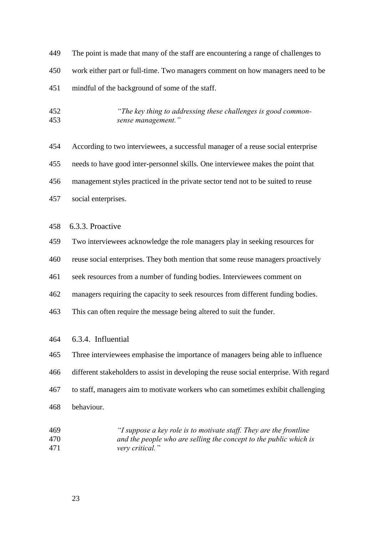- The point is made that many of the staff are encountering a range of challenges to work either part or full-time. Two managers comment on how managers need to be mindful of the background of some of the staff.
- *"The key thing to addressing these challenges is good common-sense management."*
- According to two interviewees, a successful manager of a reuse social enterprise needs to have good inter-personnel skills. One interviewee makes the point that management styles practiced in the private sector tend not to be suited to reuse social enterprises.
- 6.3.3. Proactive
- Two interviewees acknowledge the role managers play in seeking resources for
- reuse social enterprises. They both mention that some reuse managers proactively
- seek resources from a number of funding bodies. Interviewees comment on
- managers requiring the capacity to seek resources from different funding bodies.
- This can often require the message being altered to suit the funder.
- 6.3.4. Influential
- Three interviewees emphasise the importance of managers being able to influence different stakeholders to assist in developing the reuse social enterprise. With regard to staff, managers aim to motivate workers who can sometimes exhibit challenging behaviour.
- *"I suppose a key role is to motivate staff. They are the frontline and the people who are selling the concept to the public which is very critical."*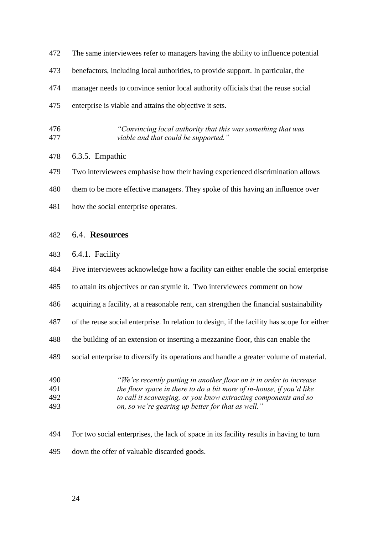| 472 | The same interviewees refer to managers having the ability to influence potential |
|-----|-----------------------------------------------------------------------------------|
| 473 | benefactors, including local authorities, to provide support. In particular, the  |
| 474 | manager needs to convince senior local authority officials that the reuse social  |
| 475 | enterprise is viable and attains the objective it sets.                           |

 *"Convincing local authority that this was something that was viable and that could be supported."* 

#### 6.3.5. Empathic

Two interviewees emphasise how their having experienced discrimination allows

them to be more effective managers. They spoke of this having an influence over

how the social enterprise operates.

## 6.4. **Resources**

6.4.1. Facility

Five interviewees acknowledge how a facility can either enable the social enterprise

- to attain its objectives or can stymie it. Two interviewees comment on how
- acquiring a facility, at a reasonable rent, can strengthen the financial sustainability
- of the reuse social enterprise. In relation to design, if the facility has scope for either
- the building of an extension or inserting a mezzanine floor, this can enable the
- social enterprise to diversify its operations and handle a greater volume of material.
- *"We're recently putting in another floor on it in order to increase the floor space in there to do a bit more of in-house, if you'd like*
- *to call it scavenging, or you know extracting components and so on, so we're gearing up better for that as well."*
- For two social enterprises, the lack of space in its facility results in having to turn down the offer of valuable discarded goods.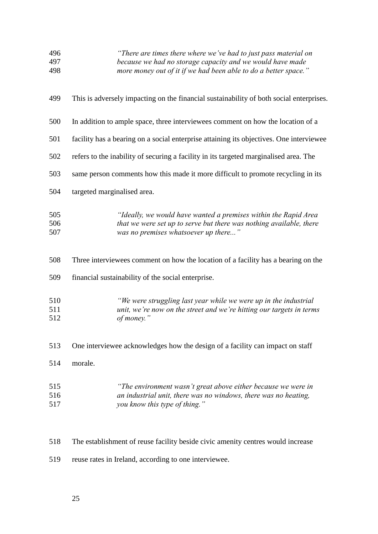| 496<br>497<br>498 | "There are times there where we've had to just pass material on<br>because we had no storage capacity and we would have made<br>more money out of it if we had been able to do a better space." |
|-------------------|-------------------------------------------------------------------------------------------------------------------------------------------------------------------------------------------------|
| 499               | This is adversely impacting on the financial sustainability of both social enterprises.                                                                                                         |
| 500               | In addition to ample space, three interviewees comment on how the location of a                                                                                                                 |
| 501               | facility has a bearing on a social enterprise attaining its objectives. One interviewee                                                                                                         |
| 502               | refers to the inability of securing a facility in its targeted marginalised area. The                                                                                                           |
| 503               | same person comments how this made it more difficult to promote recycling in its                                                                                                                |
| 504               | targeted marginalised area.                                                                                                                                                                     |
| 505<br>506<br>507 | "Ideally, we would have wanted a premises within the Rapid Area<br>that we were set up to serve but there was nothing available, there<br>was no premises whatsoever up there"                  |
| 508               | Three interviewees comment on how the location of a facility has a bearing on the                                                                                                               |
| 509               | financial sustainability of the social enterprise.                                                                                                                                              |
| 510<br>511<br>512 | "We were struggling last year while we were up in the industrial<br>unit, we're now on the street and we're hitting our targets in terms<br>of money."                                          |
| 513               | One interviewee acknowledges how the design of a facility can impact on staff                                                                                                                   |
| 514               | morale.                                                                                                                                                                                         |
| 515<br>516<br>517 | "The environment wasn't great above either because we were in<br>an industrial unit, there was no windows, there was no heating,<br>you know this type of thing."                               |

The establishment of reuse facility beside civic amenity centres would increase

reuse rates in Ireland, according to one interviewee.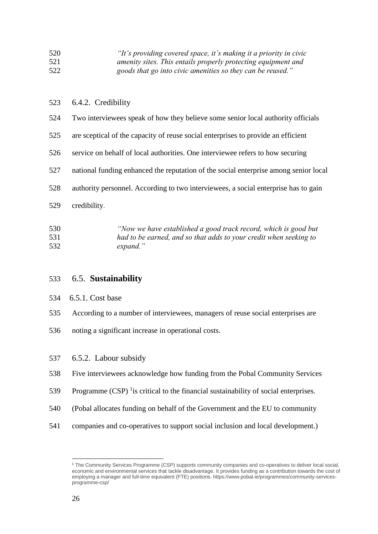| 520 | "It's providing covered space, it's making it a priority in civic |
|-----|-------------------------------------------------------------------|
| 521 | amenity sites. This entails properly protecting equipment and     |
| 522 | goods that go into civic amenities so they can be reused."        |

#### 6.4.2. Credibility

- Two interviewees speak of how they believe some senior local authority officials
- are sceptical of the capacity of reuse social enterprises to provide an efficient
- service on behalf of local authorities. One interviewee refers to how securing
- national funding enhanced the reputation of the social enterprise among senior local
- authority personnel. According to two interviewees, a social enterprise has to gain
- credibility.

#### *"Now we have established a good track record, which is good but had to be earned, and so that adds to your credit when seeking to expand."*

#### 6.5. **Sustainability**

#### 6.5.1. Cost base

- According to a number of interviewees, managers of reuse social enterprises are
- noting a significant increase in operational costs.
- 6.5.2. Labour subsidy
- Five interviewees acknowledge how funding from the Pobal Community Services
- 539 Programme  $(CSP)$  <sup>1</sup> is critical to the financial sustainability of social enterprises.
- (Pobal allocates funding on behalf of the Government and the EU to community
- companies and co-operatives to support social inclusion and local development.)

 $\overline{a}$ 

 The Community Services Programme (CSP) supports community companies and co-operatives to deliver local social, economic and environmental services that tackle disadvantage. It provides funding as a contribution towards the cost of employing a manager and full-time equivalent (FTE) positions. https://www.pobal.ie/programmes/community-servicesprogramme-csp/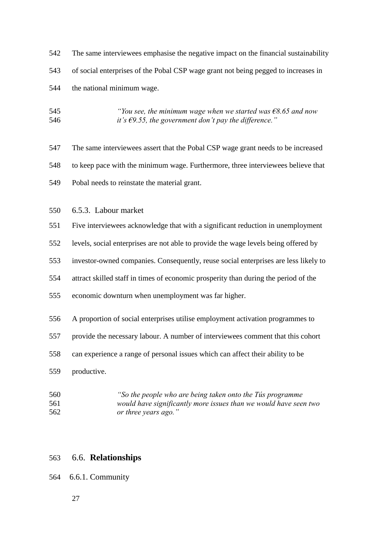The same interviewees emphasise the negative impact on the financial sustainability of social enterprises of the Pobal CSP wage grant not being pegged to increases in the national minimum wage.

- *"You see, the minimum wage when we started was €8.65 and now it's €9.55, the government don't pay the difference."*
- The same interviewees assert that the Pobal CSP wage grant needs to be increased to keep pace with the minimum wage. Furthermore, three interviewees believe that Pobal needs to reinstate the material grant.
- 6.5.3. Labour market
- Five interviewees acknowledge that with a significant reduction in unemployment

levels, social enterprises are not able to provide the wage levels being offered by

- investor-owned companies. Consequently, reuse social enterprises are less likely to
- attract skilled staff in times of economic prosperity than during the period of the
- economic downturn when unemployment was far higher.
- A proportion of social enterprises utilise employment activation programmes to
- provide the necessary labour. A number of interviewees comment that this cohort
- can experience a range of personal issues which can affect their ability to be
- productive.
- *"So the people who are being taken onto the Tús programme would have significantly more issues than we would have seen two or three years ago."*

#### 6.6. **Relationships**

- 6.6.1. Community
	-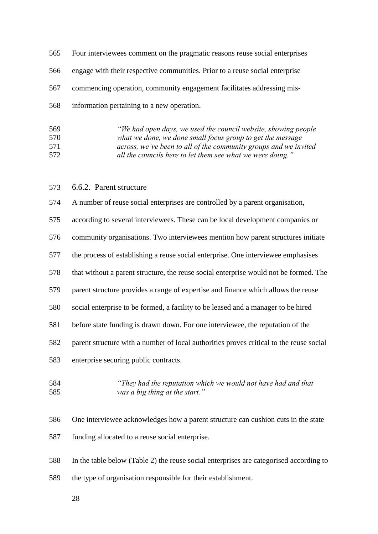| 565 | Four interviewees comment on the pragmatic reasons reuse social enterprises  |
|-----|------------------------------------------------------------------------------|
| 566 | engage with their respective communities. Prior to a reuse social enterprise |
|     | 567 commencing operation, community engagement facilitates addressing mis-   |
| 568 | information pertaining to a new operation.                                   |

| 569 | "We had open days, we used the council website, showing people   |
|-----|------------------------------------------------------------------|
| 570 | what we done, we done small focus group to get the message       |
| 571 | across, we've been to all of the community groups and we invited |
| 572 | all the councils here to let them see what we were doing."       |

## 6.6.2. Parent structure

| 574 | A number of reuse social enterprises are controlled by a parent organisation,           |
|-----|-----------------------------------------------------------------------------------------|
| 575 | according to several interviewees. These can be local development companies or          |
| 576 | community organisations. Two interviewees mention how parent structures initiate        |
| 577 | the process of establishing a reuse social enterprise. One interviewee emphasises       |
| 578 | that without a parent structure, the reuse social enterprise would not be formed. The   |
| 579 | parent structure provides a range of expertise and finance which allows the reuse       |
| 580 | social enterprise to be formed, a facility to be leased and a manager to be hired       |
| 581 | before state funding is drawn down. For one interviewee, the reputation of the          |
| 582 | parent structure with a number of local authorities proves critical to the reuse social |
| 583 | enterprise securing public contracts.                                                   |
| 584 | "They had the reputation which we would not have had and that                           |

*was a big thing at the start."*

 One interviewee acknowledges how a parent structure can cushion cuts in the state funding allocated to a reuse social enterprise.

 In the table below (Table 2) the reuse social enterprises are categorised according to the type of organisation responsible for their establishment.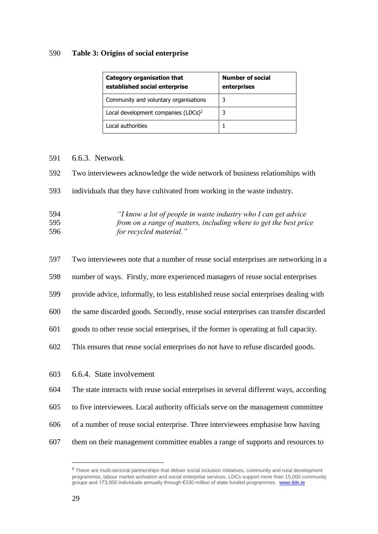#### **Table 3: Origins of social enterprise**

| <b>Category organisation that</b><br>established social enterprise | <b>Number of social</b><br>enterprises |
|--------------------------------------------------------------------|----------------------------------------|
| Community and voluntary organisations                              | 3                                      |
| Local development companies (LDCs) <sup>2</sup>                    | 3                                      |
| Local authorities                                                  |                                        |

#### 6.6.3. Network

Two interviewees acknowledge the wide network of business relationships with

individuals that they have cultivated from working in the waste industry.

| 594 | "I know a lot of people in waste industry who I can get advice"   |
|-----|-------------------------------------------------------------------|
| 595 | from on a range of matters, including where to get the best price |
| 596 | for recycled material."                                           |

- Two interviewees note that a number of reuse social enterprises are networking in a
- number of ways. Firstly, more experienced managers of reuse social enterprises
- provide advice, informally, to less established reuse social enterprises dealing with
- the same discarded goods. Secondly, reuse social enterprises can transfer discarded
- goods to other reuse social enterprises, if the former is operating at full capacity.
- This ensures that reuse social enterprises do not have to refuse discarded goods.
- 6.6.4. State involvement
- The state interacts with reuse social enterprises in several different ways, according
- to five interviewees. Local authority officials serve on the management committee
- of a number of reuse social enterprise. Three interviewees emphasise how having
- them on their management committee enables a range of supports and resources to

 $\overline{a}$ 

<sup>&</sup>lt;sup>2</sup> These are multi-sectoral partnerships that deliver social inclusion initiatives, community and rural development programmes, labour market activation and social enterprise services. LDCs support more than 15,000 community groups and 173,000 individuals annually through €330 million of state-funded programmes. [www.ildn.ie](http://www.ildn.ie/)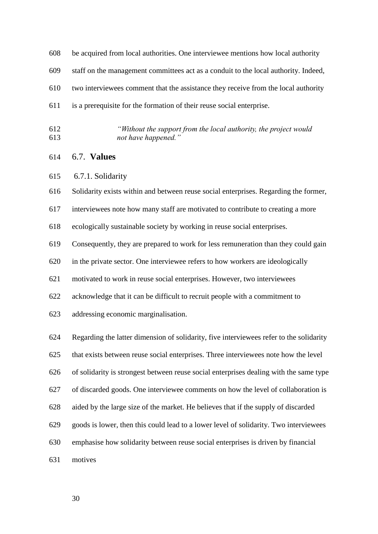- be acquired from local authorities. One interviewee mentions how local authority
- staff on the management committees act as a conduit to the local authority. Indeed,

two interviewees comment that the assistance they receive from the local authority

- is a prerequisite for the formation of their reuse social enterprise.
- *"Without the support from the local authority, the project would not have happened."*
- 6.7. **Values**
- 6.7.1. Solidarity

Solidarity exists within and between reuse social enterprises. Regarding the former,

interviewees note how many staff are motivated to contribute to creating a more

ecologically sustainable society by working in reuse social enterprises.

Consequently, they are prepared to work for less remuneration than they could gain

in the private sector. One interviewee refers to how workers are ideologically

motivated to work in reuse social enterprises. However, two interviewees

acknowledge that it can be difficult to recruit people with a commitment to

addressing economic marginalisation.

Regarding the latter dimension of solidarity, five interviewees refer to the solidarity

that exists between reuse social enterprises. Three interviewees note how the level

of solidarity is strongest between reuse social enterprises dealing with the same type

of discarded goods. One interviewee comments on how the level of collaboration is

- aided by the large size of the market. He believes that if the supply of discarded
- goods is lower, then this could lead to a lower level of solidarity. Two interviewees
- emphasise how solidarity between reuse social enterprises is driven by financial
- motives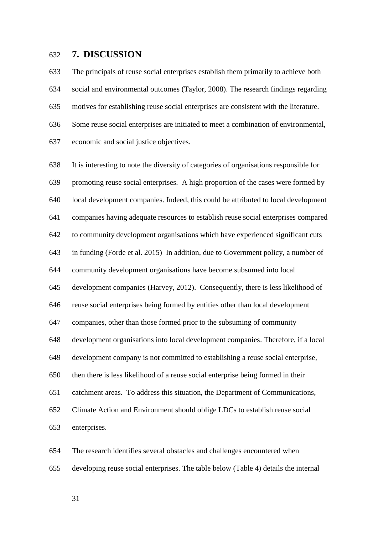#### **7. DISCUSSION**

 The principals of reuse social enterprises establish them primarily to achieve both social and environmental outcomes (Taylor, 2008). The research findings regarding motives for establishing reuse social enterprises are consistent with the literature. Some reuse social enterprises are initiated to meet a combination of environmental, economic and social justice objectives.

 It is interesting to note the diversity of categories of organisations responsible for promoting reuse social enterprises. A high proportion of the cases were formed by local development companies. Indeed, this could be attributed to local development companies having adequate resources to establish reuse social enterprises compared to community development organisations which have experienced significant cuts in funding (Forde et al. 2015) In addition, due to Government policy, a number of community development organisations have become subsumed into local development companies (Harvey, 2012). Consequently, there is less likelihood of reuse social enterprises being formed by entities other than local development companies, other than those formed prior to the subsuming of community development organisations into local development companies. Therefore, if a local development company is not committed to establishing a reuse social enterprise, then there is less likelihood of a reuse social enterprise being formed in their catchment areas. To address this situation, the Department of Communications, Climate Action and Environment should oblige LDCs to establish reuse social enterprises.

 The research identifies several obstacles and challenges encountered when developing reuse social enterprises. The table below (Table 4) details the internal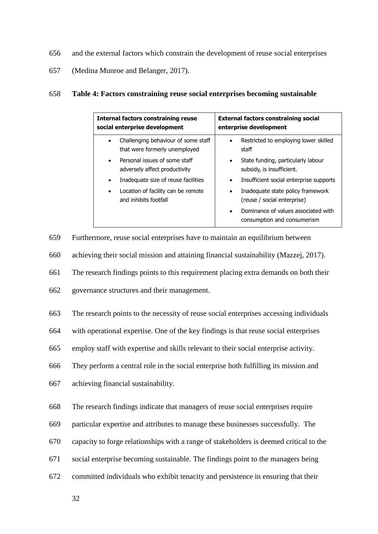- 656 and the external factors which constrain the development of reuse social enterprises
- 657 (Medina Munroe and Belanger, 2017).

#### 658 **Table 4: Factors constraining reuse social enterprises becoming sustainable**

| <b>Internal factors constraining reuse</b>                                        | <b>External factors constraining social</b>                        |
|-----------------------------------------------------------------------------------|--------------------------------------------------------------------|
| social enterprise development                                                     | enterprise development                                             |
| Challenging behaviour of some staff<br>$\bullet$<br>that were formerly unemployed | Restricted to employing lower skilled<br>staff                     |
| Personal issues of some staff                                                     | State funding, particularly labour                                 |
| $\bullet$                                                                         | $\bullet$                                                          |
| adversely affect productivity                                                     | subsidy, is insufficient.                                          |
| Inadequate size of reuse facilities                                               | Insufficient social enterprise supports                            |
| $\bullet$                                                                         | $\bullet$                                                          |
| Location of facility can be remote                                                | Inadequate state policy framework                                  |
| ٠                                                                                 | $\bullet$                                                          |
| and inhibits footfall                                                             | (reuse / social enterprise)                                        |
|                                                                                   | Dominance of values associated with<br>consumption and consumerism |

659 Furthermore, reuse social enterprises have to maintain an equilibrium between

660 achieving their social mission and attaining financial sustainability (Mazzej, 2017).

661 The research findings points to this requirement placing extra demands on both their

662 governance structures and their management.

663 The research points to the necessity of reuse social enterprises accessing individuals

664 with operational expertise. One of the key findings is that reuse social enterprises

665 employ staff with expertise and skills relevant to their social enterprise activity.

666 They perform a central role in the social enterprise both fulfilling its mission and

667 achieving financial sustainability.

668 The research findings indicate that managers of reuse social enterprises require

- 669 particular expertise and attributes to manage these businesses successfully. The
- 670 capacity to forge relationships with a range of stakeholders is deemed critical to the
- 671 social enterprise becoming sustainable. The findings point to the managers being
- 672 committed individuals who exhibit tenacity and persistence in ensuring that their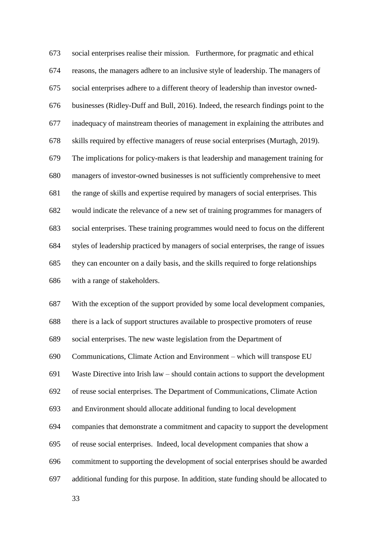social enterprises realise their mission. Furthermore, for pragmatic and ethical reasons, the managers adhere to an inclusive style of leadership. The managers of social enterprises adhere to a different theory of leadership than investor owned- businesses (Ridley-Duff and Bull, 2016). Indeed, the research findings point to the inadequacy of mainstream theories of management in explaining the attributes and skills required by effective managers of reuse social enterprises (Murtagh, 2019). The implications for policy-makers is that leadership and management training for managers of investor-owned businesses is not sufficiently comprehensive to meet the range of skills and expertise required by managers of social enterprises. This would indicate the relevance of a new set of training programmes for managers of social enterprises. These training programmes would need to focus on the different styles of leadership practiced by managers of social enterprises, the range of issues they can encounter on a daily basis, and the skills required to forge relationships with a range of stakeholders.

 With the exception of the support provided by some local development companies, there is a lack of support structures available to prospective promoters of reuse social enterprises. The new waste legislation from the Department of Communications, Climate Action and Environment – which will transpose EU Waste Directive into Irish law – should contain actions to support the development of reuse social enterprises. The Department of Communications, Climate Action and Environment should allocate additional funding to local development companies that demonstrate a commitment and capacity to support the development of reuse social enterprises. Indeed, local development companies that show a commitment to supporting the development of social enterprises should be awarded additional funding for this purpose. In addition, state funding should be allocated to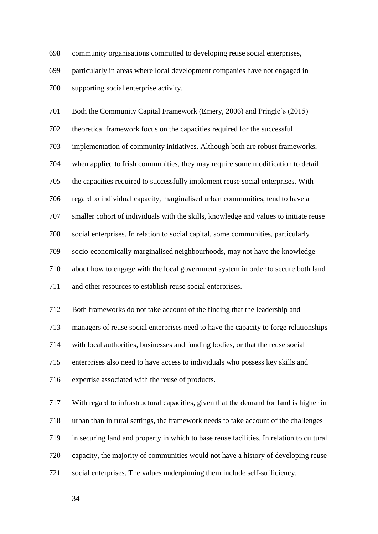community organisations committed to developing reuse social enterprises,

 particularly in areas where local development companies have not engaged in supporting social enterprise activity.

Both the Community Capital Framework (Emery, 2006) and Pringle's (2015)

theoretical framework focus on the capacities required for the successful

implementation of community initiatives. Although both are robust frameworks,

when applied to Irish communities, they may require some modification to detail

the capacities required to successfully implement reuse social enterprises. With

regard to individual capacity, marginalised urban communities, tend to have a

smaller cohort of individuals with the skills, knowledge and values to initiate reuse

social enterprises. In relation to social capital, some communities, particularly

socio-economically marginalised neighbourhoods, may not have the knowledge

about how to engage with the local government system in order to secure both land

and other resources to establish reuse social enterprises.

Both frameworks do not take account of the finding that the leadership and

managers of reuse social enterprises need to have the capacity to forge relationships

with local authorities, businesses and funding bodies, or that the reuse social

enterprises also need to have access to individuals who possess key skills and

expertise associated with the reuse of products.

 With regard to infrastructural capacities, given that the demand for land is higher in urban than in rural settings, the framework needs to take account of the challenges in securing land and property in which to base reuse facilities. In relation to cultural capacity, the majority of communities would not have a history of developing reuse social enterprises. The values underpinning them include self-sufficiency,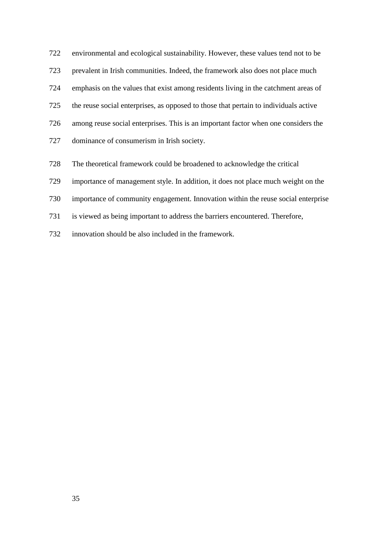environmental and ecological sustainability. However, these values tend not to be prevalent in Irish communities. Indeed, the framework also does not place much emphasis on the values that exist among residents living in the catchment areas of the reuse social enterprises, as opposed to those that pertain to individuals active among reuse social enterprises. This is an important factor when one considers the dominance of consumerism in Irish society.

- The theoretical framework could be broadened to acknowledge the critical
- importance of management style. In addition, it does not place much weight on the
- importance of community engagement. Innovation within the reuse social enterprise
- is viewed as being important to address the barriers encountered. Therefore,
- innovation should be also included in the framework.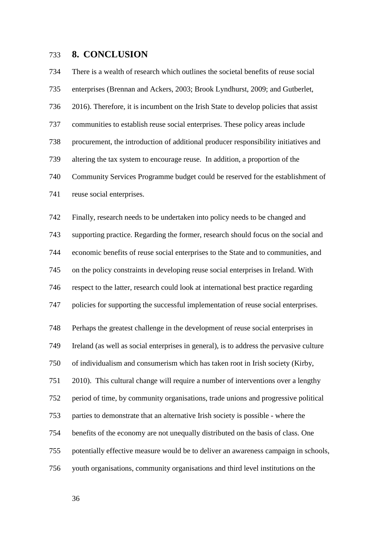## **8. CONCLUSION**

 There is a wealth of research which outlines the societal benefits of reuse social enterprises (Brennan and Ackers, 2003; Brook Lyndhurst, 2009; and Gutberlet, 2016). Therefore, it is incumbent on the Irish State to develop policies that assist communities to establish reuse social enterprises. These policy areas include procurement, the introduction of additional producer responsibility initiatives and altering the tax system to encourage reuse. In addition, a proportion of the Community Services Programme budget could be reserved for the establishment of reuse social enterprises.

 Finally, research needs to be undertaken into policy needs to be changed and supporting practice. Regarding the former, research should focus on the social and economic benefits of reuse social enterprises to the State and to communities, and on the policy constraints in developing reuse social enterprises in Ireland. With respect to the latter, research could look at international best practice regarding policies for supporting the successful implementation of reuse social enterprises. Perhaps the greatest challenge in the development of reuse social enterprises in Ireland (as well as social enterprises in general), is to address the pervasive culture of individualism and consumerism which has taken root in Irish society (Kirby, 2010). This cultural change will require a number of interventions over a lengthy period of time, by community organisations, trade unions and progressive political parties to demonstrate that an alternative Irish society is possible - where the benefits of the economy are not unequally distributed on the basis of class. One potentially effective measure would be to deliver an awareness campaign in schools, youth organisations, community organisations and third level institutions on the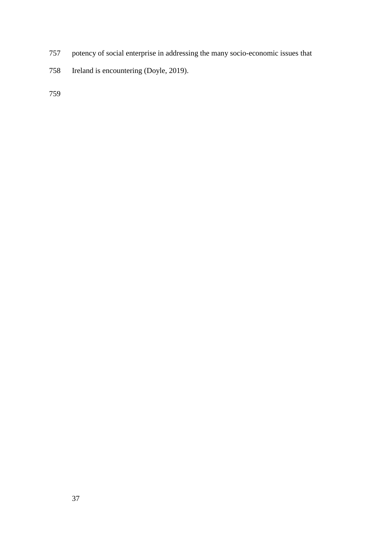- potency of social enterprise in addressing the many socio-economic issues that
- Ireland is encountering (Doyle, 2019).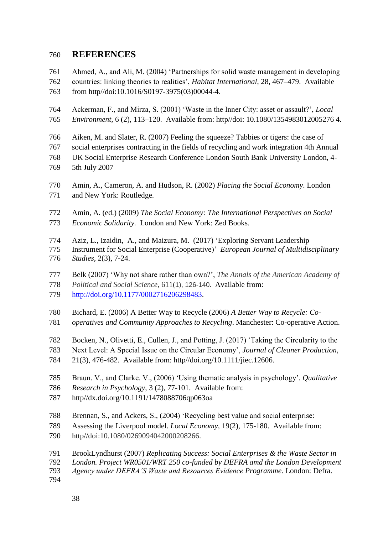# **REFERENCES**

Ahmed, A., and Ali, M. (2004) 'Partnerships for solid waste management in developing

- countries: linking theories to realities', *Habitat International*, 28, 467–479. Available
- from http//doi:10.1016/S0197-3975(03)00044-4.
- Ackerman, F., and Mirza, S. (2001) 'Waste in the Inner City: asset or assault?', *Local*
- *Environment,* 6 (2), 113–120. Available from: http//doi: 10.1080/1354983012005276 4.
- Aiken, M. and Slater, R. (2007) Feeling the squeeze? Tabbies or tigers: the case of
- social enterprises contracting in the fields of recycling and work integration 4th Annual UK Social Enterprise Research Conference London South Bank University London, 4-
- 5th July 2007
- Amin, A., Cameron, A. and Hudson, R. (2002) *Placing the Social Economy*. London and New York: Routledge.
- Amin, A. (ed.) (2009) *The Social Economy: The International Perspectives on Social Economic Solidarity.* London and New York: Zed Books.
- Aziz, L., Izaidin, A., and Maizura, M. (2017) 'Exploring Servant Leadership
- Instrument for Social Enterprise (Cooperative)' *European Journal of Multidisciplinary Studies,* 2(3), 7-24.
- Belk (2007) 'Why not share rather than own?', *The Annals of the American Academy of*
- *Political and Social Science,* 611(1), 126-140. Available from:
- [http://doi.org/10.1177/0002716206298483.](http://doi.org/10.1177/0002716206298483)
- Bichard, E. (2006) A Better Way to Recycle (2006) *A Better Way to Recycle: Co-*
- *operatives and Community Approaches to Recycling*. Manchester: Co-operative Action.
- Bocken, N., Olivetti, E., Cullen, J., and Potting, J. (2017) 'Taking the Circularity to the
- Next Level: A Special Issue on the Circular Economy', *Journal of Cleaner Production*,
- 21(3), 476-482. Available from: http/[/doi.org/10.1111/jiec.12606.](https://doi.org/10.1111/jiec.12606)
- Braun. V., and Clarke. V., (2006) 'Using thematic analysis in psychology'. *Qualitative*
- *Research in Psychology*, 3 (2), 77-101. Available from:
- http//dx.doi.org/10.1191/1478088706qp063oa
- Brennan, S., and Ackers, S., (2004) 'Recycling best value and social enterprise:
- Assessing the Liverpool model. *Local Economy,* 19(2), 175-180. Available from:
- http//doi[:10.1080/0269094042000208266.](https://doi.org/10.1080/0269094042000208266)
- BrookLyndhurst (2007) *Replicating Success: Social Enterprises & the Waste Sector in*
- *London. Project WR0501/WRT 250 co-funded by DEFRA amd the London Development*
- *Agency under DEFRA'S Waste and Resources Evidence Programme.* London: Defra.
-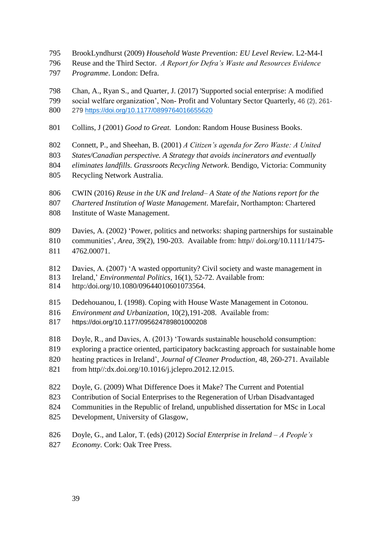- BrookLyndhurst (2009) *Household Waste Prevention: EU Level Review.* L2-M4-I
- Reuse and the Third Sector. *A Report for Defra's Waste and Resources Evidence*
- *Programme*. London: Defra.
- Chan, A., Ryan S., and Quarter, J. (2017) 'Supported social enterprise: A modified
- social welfare organization', Non- Profit and Voluntary Sector Quarterly, 46 (2), 261- 279 [https://doi.org/10.1177/0899764016655620](https://doi.org/10.1177%2F0899764016655620)
- Collins, J (2001) *Good to Great.* London: Random House Business Books.
- Connett, P., and Sheehan, B. (2001) *A Citizen's agenda for Zero Waste: A United*
- *States/Canadian perspective. A Strategy that avoids incinerators and eventually*
- *eliminates landfills. Grassroots Recycling Network*. Bendigo, Victoria: Community
- Recycling Network Australia.
- CWIN (2016) *Reuse in the UK and Ireland– A State of the Nations report for the*
- *Chartered Institution of Waste Management*. Marefair, Northampton: Chartered
- Institute of Waste Management.
- Davies, A. (2002) ['Power, politics and networks: shaping partnerships for sustainable](javascript:void(0))
- [communities'](javascript:void(0)), *Area*, 39(2), 190-203. Available from: http// [doi.org/10.1111/1475-](https://doi.org/10.1111/1475-4762.00071) [4762.00071.](https://doi.org/10.1111/1475-4762.00071)
- Davies, A. (2007) ['A wasted opportunity? Civil society and waste management in](https://www.tandfonline.com/doi/abs/10.1080/09644010601073564)
- [Ireland,](https://www.tandfonline.com/doi/abs/10.1080/09644010601073564)' *Environmental Politics*, 16(1), 52-72. Available from:
- [http:/doi.org/10.1080/09644010601073564.](https://doi.org/10.1080/09644010601073564)
- Dedehouanou, I. (1998). Coping with House Waste Management in Cotonou.
- *Environment and Urbanization*, 10(2),191-208. Available from:
- [https://doi.org/10.1177/095624789801000208](https://doi.org/10.1177%2F095624789801000208)
- Doyle, R., and Davies, A. (2013) 'Towards sustainable household consumption:
- exploring a practice oriented, participatory backcasting approach for sustainable home
- heating practices in Ireland', *Journal of Cleaner Production*, 48, 260-271. Available
- from http//:dx.doi.org/10.1016/j.jclepro.2012.12.015.
- Doyle, G. (2009) What Difference Does it Make? The Current and Potential
- Contribution of Social Enterprises to the Regeneration of Urban Disadvantaged
- Communities in the Republic of Ireland, unpublished dissertation for MSc in Local
- Development, University of Glasgow,
- Doyle, G., and Lalor, T. (eds) (2012) *Social Enterprise in Ireland – A People's*
- *Economy*. Cork: Oak Tree Press.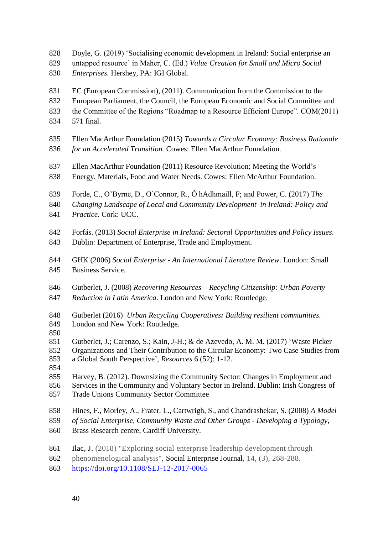Doyle, G. (2019) 'Socialising economic development in Ireland: Social enterprise an

- untapped resource' in Maher, C. (Ed.) *Value Creation for Small and Micro Social*
- *Enterprises.* Hershey, PA: IGI Global.
- EC (European Commission), (2011). Communication from the Commission to the
- European Parliament, the Council, the European Economic and Social Committee and
- the Committee of the Regions "Roadmap to a Resource Efficient Europe". COM(2011)
- 571 final.
- Ellen MacArthur Foundation (2015) *Towards a Circular Economy: Business Rationale for an Accelerated Transition.* Cowes: Ellen MacArthur Foundation.
- Ellen MacArthur Foundation (2011) Resource Revolution; Meeting the World's
- Energy, Materials, Food and Water Needs. Cowes: Ellen McArthur Foundation.
- Forde, C., O'Byrne, D., O'Connor, R., Ó hAdhmaill, F; and Power, C. (2017) T*he*
- *Changing Landscape of Local and Community Development in Ireland: Policy and*
- *Practice.* Cork: UCC.
- Forfás. (2013) *Social Enterprise in Ireland: Sectoral Opportunities and Policy Issues*.
- Dublin: Department of Enterprise, Trade and Employment.
- GHK (2006) *Social Enterprise - An International Literature Review*. London: Small Business Service.
- Gutberlet, J. (2008) *Recovering Resources – Recycling Citizenship: Urban Poverty*
- *Reduction in Latin America*. London and New York: Routledge.
- Gutberlet (2016) *Urban Recycling Cooperatives: Building resilient communities.*  London and New York: Routledge.
- 
- Gutberlet, J.; Carenzo, S.; Kain, J-H.; & de Azevedo, A. M. M. (2017) 'Waste Picker
- Organizations and Their Contribution to the Circular Economy: Two Case Studies from
- a Global South Perspective', *Resources* 6 (52): 1-12.
- 
- Harvey, B. (2012). Downsizing the Community Sector: Changes in Employment and
- Services in the Community and Voluntary Sector in Ireland. Dublin: Irish Congress of
- Trade Unions Community Sector Committee
- Hines, F., Morley, A., Frater, L., Cartwrigh, S., and Chandrashekar, S. (2008) *A Model*
- *of Social Enterprise, Community Waste and Other Groups - Developing a Typology*,
- Brass Research centre, Cardiff University.
- Ilac, J. (2018) "Exploring social enterprise leadership development through
- phenomenological analysis", Social Enterprise Journal, 14, (3), 268-288.
- <https://doi.org/10.1108/SEJ-12-2017-0065>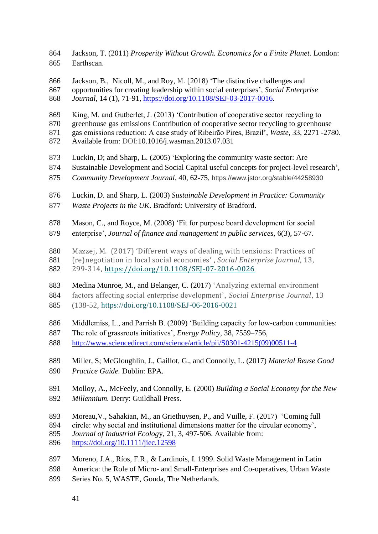Jackson, T. (2011) *Prosperity Without Growth. Economics for a Finite Planet.* London: Earthscan.

- [Jackson,](https://www.emeraldinsight.com/author/Jackson%2C+Brad) B., [Nicoll,](https://www.emeraldinsight.com/author/Nicoll%2C+Matthew) M., and Roy, M. (2018) 'The distinctive challenges and
- opportunities for creating leadership within social enterprises', *Social Enterprise*
- *Journal*, 14 (1), 71-91, [https://doi.org/10.1108/SEJ-03-2017-0016.](https://doi.org/10.1108/SEJ-03-2017-0016)
- King, M. and Gutberlet, J. (2013) 'Contribution of cooperative sector recycling to
- greenhouse gas emissions Contribution of cooperative sector recycling to greenhouse
- gas emissions reduction: A case study of Ribeirão Pires, Brazil', *Waste*, 33, 2271 -2780.
- Available from: DOI[:10.1016/j.wasman.2013.07.031](https://doi.org/10.1016/j.wasman.2013.07.031)
- Luckin, D; and Sharp, L. (2005) 'Exploring the community waste sector: Are
- Sustainable Development and Social Capital useful concepts for project-level research',
- *Community Development Journal*, 40, 62-75, https://www.jstor.org/stable/44258930
- Luckin, D. and Sharp, L. (2003) *Sustainable Development in Practice: Community Waste Projects in the UK*. Bradford: University of Bradford.
- Mason, C., and Royce, M. (2008) 'Fit for purpose board development for social
- enterprise', *Journal of finance and management in public services,* 6(3), 57-67.
- Mazzej, M. (2017) 'Different ways of dealing with tensions: Practices of
- (re)negotiation in local social economies' , *Social Enterprise Journal*, 13,
- 299-314,<https://doi.org/10.1108/SEJ-07-2016-0026>
- Medina Munroe, M., and Belanger, C. (2017) 'Analyzing external environment
- factors affecting social enterprise development', *Social Enterprise Journal*, 13
- (138-52,<https://doi.org/10.1108/SEJ-06-2016-0021>
- Middlemiss, L., and Parrish B. (2009) 'Building capacity for low-carbon communities:
- The role of grassroots initiatives', *Energy Policy*, 38, 7559–756,
- [http://www.sciencedirect.com/science/article/pii/S0301-4215\(09\)00511-4](https://econpapers.repec.org/scripts/redir.pf?u=http%3A%2F%2Fwww.sciencedirect.com%2Fscience%2Farticle%2Fpii%2FS0301-4215%2809%2900511-4;h=repec:eee:enepol:v:38:y:2010:i:12:p:7559-7566)
- Miller, S; McGloughlin, J., Gaillot, G., and Connolly, L. (2017) *Material Reuse Good Practice Guide.* Dublin: EPA*.*
- Molloy, A., McFeely, and Connolly, E. (2000) *Building a Social Economy for the New Millennium.* Derry: Guildhall Press.
- Moreau,V., Sahakian, M., an Griethuysen, P., and Vuille, F. (2017) 'Coming full
- circle: why social and institutional dimensions matter for the circular economy',
- *Journal of Industrial Ecolog*y, 21, 3, 497-506. Available from:
- <https://doi.org/10.1111/jiec.12598>
- Moreno, J.A., Ríos, F.R., & Lardinois, I. 1999. Solid Waste Management in Latin
- America: the Role of Micro- and Small-Enterprises and Co-operatives, Urban Waste
- Series No. 5, WASTE, Gouda, The Netherlands.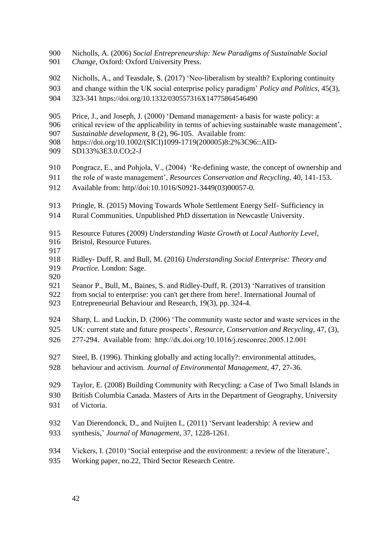- Nicholls, A. (2006) *Social Entrepreneurship: New Paradigms of Sustainable Social*
- *Change*, Oxford: Oxford University Press.
- Nicholls, A., and Teasdale, S. (2017) 'Neo-liberalism by stealth? Exploring continuity
- and change within the UK social enterprise policy paradigm' *Policy and Politics,* 45(3),
- 323-341 https://doi.org/10.1332/030557316X14775864546490
- Price, J., and Joseph, J. (2000) 'Demand management- a basis for waste policy: a
- critical review of the applicability in terms of achieving sustainable waste management',
- *Sustainable development*, 8 (2), 96-105. Available from:
- https://doi.org/10.1002/(SICI)1099-1719(200005)8:2%3C96::AID-
- SD133%3E3.0.CO;2-J
- Pongracz, E., and Pohjola, V., (2004) 'Re-defining waste, the concept of ownership and
- the role of waste management', *Resources Conservation and Recycling*, 40, 141-153.
- Available from: http//doi:10.1016/S0921-3449(03)00057-0.
- Pringle, R. (2015) Moving Towards Whole Settlement Energy Self- Sufficiency in
- Rural Communities. Unpublished PhD dissertation in Newcastle University.
- Resource Futures (2009) *Understanding Waste Growth at Local Authority Level*,
- Bristol, Resource Futures.
- 
- Ridley- Duff, R. and Bull, M. (2016) *Understanding Social Enterprise: Theory and*
- *Practice.* London: Sage.
- Seanor P., Bull, M., Baines, S. and Ridley-Duff, R. (2013) 'Narratives of transition
- from social to enterprise: you can't get there from here!. International Journal of
- Entrepreneurial Behaviour and Research, 19(3), pp. 324-4.
- Sharp, L. and Luckin, D. (2006) 'The community waste sector and waste services in the
- UK: current state and future prospects', *Resource, Conservation and Recycling*, 47, (3),
- 277-294. Available from: http://dx.doi.org/10.1016/j.resconrec.2005.12.001
- Steel, B. (1996). Thinking globally and acting locally?: environmental attitudes,
- behaviour and activism. *Journal of Environmental Management*, 47, 27-36.
- Taylor, E. (2008) Building Community with Recycling: a Case of Two Small Islands in
- British Columbia Canada. Masters of Arts in the Department of Geography, University
- of Victoria.
- Van Dierendonck, D., and Nuijten I., (2011) 'Servant leadership: A review and
- synthesis,' *Journal of Management*, 37, 1228-1261.
- Vickers, I. (2010) 'Social enterprise and the environment: a review of the literature',
- Working paper, no.22, Third Sector Research Centre.